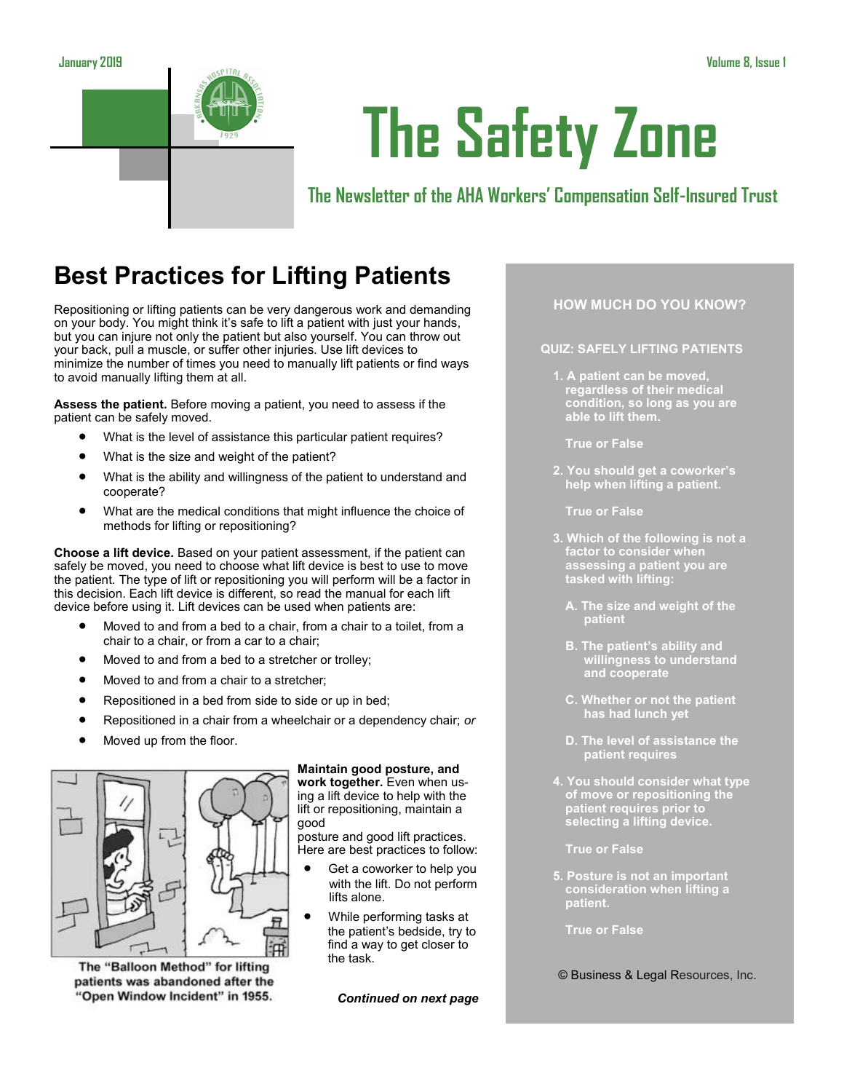

# **The Safety Zone**

# **The Newsletter of the AHA Workers' Compensation Self-Insured Trust**

# **Best Practices for Lifting Patients**

Repositioning or lifting patients can be very dangerous work and demanding on your body. You might think it's safe to lift a patient with just your hands, but you can injure not only the patient but also yourself. You can throw out your back, pull a muscle, or suffer other injuries. Use lift devices to minimize the number of times you need to manually lift patients or find ways to avoid manually lifting them at all.

**Assess the patient.** Before moving a patient, you need to assess if the patient can be safely moved.

- What is the level of assistance this particular patient requires?
- What is the size and weight of the patient?
- What is the ability and willingness of the patient to understand and cooperate?
- What are the medical conditions that might influence the choice of methods for lifting or repositioning?

**Choose a lift device.** Based on your patient assessment, if the patient can safely be moved, you need to choose what lift device is best to use to move the patient. The type of lift or repositioning you will perform will be a factor in this decision. Each lift device is different, so read the manual for each lift device before using it. Lift devices can be used when patients are:

- Moved to and from a bed to a chair, from a chair to a toilet, from a chair to a chair, or from a car to a chair;
- Moved to and from a bed to a stretcher or trolley;
- Moved to and from a chair to a stretcher;
- Repositioned in a bed from side to side or up in bed;
- Repositioned in a chair from a wheelchair or a dependency chair; *or*
- Moved up from the floor.



The "Balloon Method" for lifting patients was abandoned after the "Open Window Incident" in 1955. **Maintain good posture, and** 

**work together.** Even when using a lift device to help with the lift or repositioning, maintain a good

posture and good lift practices. Here are best practices to follow:

- Get a coworker to help you with the lift. Do not perform lifts alone.
- While performing tasks at the patient's bedside, try to find a way to get closer to the task.

*Continued on next page*

## **HOW MUCH DO YOU KNOW?**

#### **QUIZ: SAFELY LIFTING PATIENTS**

**1. A patient can be moved, regardless of their medical condition, so long as you are able to lift them.**

**True or False**

**2. You should get a coworker's help when lifting a patient.**

**True or False**

- **3. Which of the following is not a factor to consider when assessing a patient you are tasked with lifting:**
	- **A. The size and weight of the patient**
	- **B. The patient's ability and willingness to understand and cooperate**
	- **C. Whether or not the patient has had lunch yet**
	- **D. The level of assistance the patient requires**
- **4. You should consider what type of move or repositioning the patient requires prior to selecting a lifting device.**
	- **True or False**
- **5. Posture is not an important consideration when lifting a patient.**

**True or False**

#### © Business & Legal Resources, Inc.